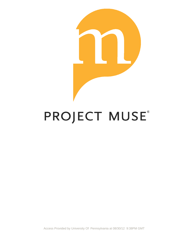

# PROJECT MUSE®

Access Provided by University Of Pennsylvania at 08/30/12 9:38PM GMT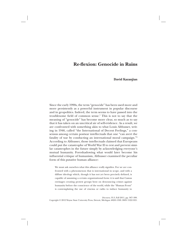# **Re-flexion: Genocide in Ruins**

## **David Kazanjian**

Since the early 1990s, the term "genocide" has been used more and more persistently as a powerful instrument in popular discourse and in geopolitics. Indeed, the term seems to have passed into the troublesome field of common sense.1 This is not to say that the meaning of "genocide" has become more clear, so much as to say that it has taken on an uncritical air of self-evidence. As a result, we are confronted with something akin to what Louis Althusser, writing in 1946, called "the International of Decent Feelings," a consensus among certain postwar intellectuals that one "can avert the fatality of war by conducting an international moral campaign."2 According to Althusser, those intellectuals claimed that Europeans could put the catastrophe of World War II to rest and prevent similar catastrophes in the future simply by acknowledging everyone's mutual humanity. Foreshadowing what would later become his influential critique of humanism, Althusser examined the peculiar form of this putative human alliance:

We must ask ourselves what this alliance really signifies. For we are confronted with a phenomenon that is international in scope, and with a diffuse ideology which, though it has not yet been precisely defined, is capable of assuming a certain organizational form: it is said that Camus envisages creating protest groups bent on denouncing crimes against humanity before the conscience of the world, while the "Human Front" is contemplating the use of cinema or radio to induce humanity to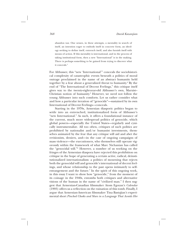abandon war. One senses, in these attempts, a mentality in search of itself, an intention eager to embody itself in concrete form, an ideology seeking to define itself, entrench itself, and also furnish itself with means of action. If this mentality is international, and in the process of taking institutional form, then a new "International" is in the making. There is perhaps something to be gained from trying to discover what it conceals.3

For Althusser, this "new 'International'" conceals the sociohistorical complexity of catastrophic events beneath a politics of moral outrage proclaimed in the name of an abstract humanity held together by a fear about a generalized threat to humanity.<sup>4</sup> By the end of "The International of Decent Feelings," this critique itself gives way to the twenty-eight-year-old Althusser's own, Marxist– Christian notion of humanity.<sup>5</sup> However, we need not follow the young Althusser into such comforts. Let us rather consider what and how a particular iteration of "genocide"—sustained by its own International of Decent Feelings—conceals.

Starting in the 1970s, Armenian diasporic politics began to settle into an entrenched, institutionalized form of Althusser's "new International." As such, it offers a foundational instance of the current, much more widespread politics of genocide, which global powers—especially the United States—regularly and cynically instrumentalize. All too often, critiques of such politics are prohibited by nationalist and/or humanist investments, themselves animated by the fear that any critique will aid and abet the revisionists, deniers, and—in the case of ongoing campaigns of mass violence—the executioners, who themselves still operate vigorously within the framework of what Marc Nichanian has called the "genocidal will."6 However, a number of us working on the fringes of the Armenian diaspora have rejected this prohibition on critique in the hope of generating a certain active, radical, deinstitutionalized internationalism: a politics of mourning that rejects both the genocidal will and genocide's international of decent feelings, and whose relationship to the past opens intimately to selfestrangement and the future.<sup>7</sup> In the spirit of this ongoing work, in this essay I want to show how "genocide," from the moment of its coinage in the 1940s, entombs both critiques and alternative visions of the human in the name of "civilized man." I then suggest that Armenian-Canadian filmmaker Atom Egoyan's *Calendar* (1993) offers us a reflection on the ruination of this tomb. Finally, I argue that Armenian-American filmmaker Tina Bastajian's experimental short *Pinched Cheeks and Slurs in a Language That Avoids Her*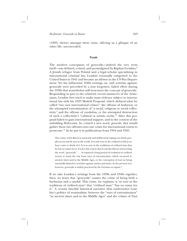(1995) thrives amongst these ruins, offering us a glimpse of an other life, unconcealed.

#### **Tomb**

The modern conception of genocide—indeed the very term itself—was defined, coined, and promulgated by Raphael Lemkin.<sup>8</sup> A Jewish refugee from Poland and a legal scholar specializing in international criminal law, Lemkin eventually emigrated to the United States in 1941 and became an advisor to the US War Department. Yet his influential 1940s writings on, and activism against, genocide were preceded by a now forgotten, failed effort during the 1930s that nonetheless still structures the concept of genocide. Responding in part to the relatively recent massacres of the Armenians, Lemkin first tried to make mass violence subject to international law with his 1933 Madrid Proposal, which defined what he called "two new international crimes:" the offense of *barbarism,* or the attempted extermination of "a racial, religious or social collectivity," and the offense of *vandalism,* or the attempted destruction of such a collectivity's "cultural or artistic works."9 After this proposal failed to gain international support, and in the context of the unfolding Holocaust, he coined a new word, *genocide,* that would gather these two offenses into one crime for international courts to prosecute.10 As he put it in publications from 1944 and 1945,

The crime of the Reich in wantonly and deliberately wiping out whole peoples is not utterly new in the world. It is only new in the civilized world as we have come to think of it. It is so new in the traditions of civilized man that he has no name for it. It is for this reason that I took the liberty of inventing the word, "genocide". . . . It required a long period of evolution in civilized society to mark the way from wars of extermination, which occurred in ancient times and in the Middle Ages, to the conception of wars as being essentially limited to activities against armies and states. In the present war, however, genocide is widely practiced by the German occupant.<sup>11</sup>

If we take Lemkin's writings from the 1930s and 1940s together, then, we learn that "genocide" names the crime of being both a barbarian and a vandal. This crime, he explains, is "so new in the traditions of civilized man" that "civilized man" "has no name for it." A certain fanciful historical narrative thus underwrites Lemkin's politics of nominalism: between the "wars of extermination" "in ancient times and in the Middle Ages" and the crimes of Nazi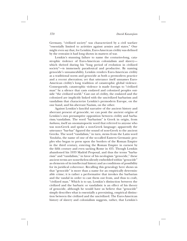Germany, "civilized society" was characterized by a civil warfare "essentially limited to activities against armies and states." One might even say that, for Lemkin, Euro-American civility was defined by the restraint it had long shown in matters of war.

Lemkin's stunning failure to name the centuries-long, catastrophic violence of Euro-American colonialism and slavery which thrived during his "long period of evolution in civilized society"—is immensely paradoxical and productive. By naming genocide's unnameability, Lemkin renders Euro-American civility as a traditional norm and genocide as both a premodern practice and a recent aberration; yet that utterance itself unnames Euro-American civility's long tradition of catastrophic global violence. Consequently, catastrophic violence is made foreign to "civilized man" by a silence that casts enslaved and colonized peoples outside "the civilized world." Cast out of civility, the enslaved and the colonized are implicitly linked with the uncivilized barbarism and vandalism that characterize Lemkin's premodern Europe, on the one hand, and his aberrant Nazism, on the other.

Against Lemkin's fanciful narrative of the ancient history and aberrant present of genocide, we can posit the ancient origins of Lemkin's own presumptive opposition between civility and barbarism/vandalism. The word "barbarism" is Greek in origin, from *barbaros,* itself an onomatopoetic word that referred to anyone who was non-Greek and spoke a non-Greek language; apparently the utterance "bar-bar" figured the sound of non-Greek to the ancient Greeks. The word "vandalism," in turn, stems from the Latin word *Vandalus,* the name of one of the so-called Eastern Germanic peoples who began to press upon the borders of the Roman Empire in the third century, entering the Roman Empire in earnest by the fifth century and even sacking Rome in 455. Though Lemkin abandoned his 1933 Madrid Proposal, and thus the terms "barbarism" and "vandalism," in favor of his neologism "genocide," these ancient terms are nonetheless silently embedded within "genocide" as elements of its intellectual history and as conditions of possibility for its juridical coherence. Recalling this genealogy here shows us that "genocide" is more than a name for an empirically determinable crime; it is rather a performative that invokes the barbarian and the vandal in order to cast them out from, and thus to craft, "civilized man." Which is to say, Lemkin's distinction between the civilized and the barbaric or vandalistic is an effect of his theory of genocide, although he would have us believe that "genocide" simply describes what is essentially a preexisting, empirical distinction between the civilized and the uncivilized. The Euro-American history of slavery and colonialism suggests, rather, that Lemkin's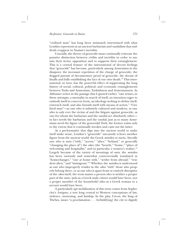"civilized man" has long been intimately intertwined with what Lemkin represents as an ancient barbarism and vandalism that suddenly reappear in Nazism's incivility.

Crucially, the theory of genocide must continually reiterate the putative distinction between civility and incivility in order to sustain their fictive opposition and to suppress their entanglement. This is a central feature of the international of decent feelings that "genocide" has become, particularly among Armenians in the diaspora: the incessant repetition of the charge of genocide, the dogged pursuit of documentary proof of genocide, the dream of finally and fully establishing the fact of our own death.12 This international, in turn, has the powerful effect of suppressing the long history of social, cultural, political, and economic entanglements between Turks and Armenians, Turkishness and Armenianness. As Althusser writes in the passage that I quoted earlier, "one senses, in these attempts, a mentality in search of itself, an intention eager to embody itself in concrete form, an ideology seeking to define itself, entrench itself, and also furnish itself with means of action." "Civilized man"—as one who is infinitely cultured and modern, as one who is only ever the victim of and the litigant against genocide, as one for whom the barbarian and the vandal are absolutely other in fact needs the barbarian and the vandal, just as so many Armenians need the figure of the genocidal Turk; the former exists only to the extent that it continually invokes and casts out the latter.

As a performative that dips into the ancient world to make itself make sense, Lemkin's "genocide" uncannily echoes another figure from the ancient world: the Greek *metoikos* or metic, literally one who is *meta* ("with," "across," "after," "behind," or generally "changing the place of") the *oikos* (the "hearth," "home," "place of welcoming and hospitality," and in particular a women's realm).<sup>13</sup> Largely because of the variety of meanings of *meta,* the *metoikos* has been variously and somewhat controversially translated as "homechanger," "one at home with," "settler from abroad," "resident alien," and "immigrant."14 Whether the *metoikos* is understood as one who improperly resides in the *oikos* "with" those who properly belong there, or as one who is apart from or entirely disruptive of the *oikos* itself, the term names a person who is neither a proper part of the state/*polis* as a Greek male citizen would have been, nor a proper member of the household/*oikos* as a Greek woman or a servant would have been.

A particularly apt mobilization of this term comes from Sophocles's *Antigone,* a text long central to Western conceptions of law, violence, mourning, and kinship. In the play, Creon, the king of Thebes, issues "a proclamation . . . forbidd[ing] the city to dignify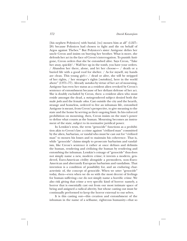[his nephew Polynices] with burial, [to] mourn him at all" (l.227– 28) because Polynices had chosen to fight and die on behalf of Argos against Thebes.15 But Polynices's sister Antigone defies her uncle Creon and insists on burying her brother. What is more, she defends her act in the face of Creon's interrogation. To punish Antigone, Creon orders that she be entombed alive. Says Creon, "Take her away, quickly! / Wall her up in the tomb, you have your orders. / Abandon her there, alone, and let her choose— / death or a buried life with a good roof for shelter. / As for myself, my hands are clean. This young girl—  $/$  dead or alive, she will be stripped of her rights, / her stranger's rights [*metoikias*], here in the world above" (l.971–77). Already *metoikos* by virtue of her act of mourning, Antigone has even her status as a resident alien revoked by Creon's sentence of entombment because of her defiant defense of her act. She is doubly excluded by Creon, then: a resident alien who must reside amongst the dead, a *meta*-gendered subject denied both the male *polis* and the female *oikos.* Cast outside the city and the hearth, strange and homeless, ordered to live an inhuman life, entombed Antigone is meant, from Creon's perspective, to give meaning to the state and the home by serving as their ongoing limit. In his enforced prohibition on mourning, then, Creon insists on the state's power to define what counts as the human. Mourning becomes an instrument of the state, subject to its normative juridical power.

In Lemkin's texts, the term "genocide" functions as a prohibition akin to Creon's law: a crime against "civilized man" committed by the alien, barbarian, or vandal who must be cast out for "civilized man" to mourn his losses and to maintain his coherence. That is, while "genocide" claims simply to prosecute barbarism and vandalism, like Creon's sentence it rather at once defines and delimits the human, rendering and civilizing the human by rendering and entombing the inhuman. Lemkin's coinage of "genocide" thus does not simply name a new, modern crime; it invents a modern, gendered, Euro-American civility alongside a premodern, non–Euro-American and aberrantly European barbarism and vandalism. That invention is a condition of possibility for, and an enduring characteristic of, the concept of genocide. When we utter "genocide" today, then—even when we do so with the most decent of feelings for human suffering—we do not simply name a horrific crime. We also risk giving that crime a very specific kind of horror: namely, a horror that is essentially cast out from our most intimate space of being and assigned a radical alterity, but whose casting out must be continually performed to keep the horror external to our selves.

It is this casting out—this creation and entombment of the inhuman in the name of a selfsame, righteous humanity—that so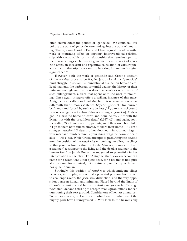often characterizes the politics of "genocide." We could call this politics the work of genocide, over and against the work of mourning. That is, if—as David L. Eng and I have argued elsewhere—the work of mourning offers an ongoing, improvisational relationship with catastrophic loss, a relationship that remains open to the new meanings such loss can generate, then the work of genocide offers an incessant and repetitive calculation of catastrophe, a calculation that stipulates catastrophe's singular and unchanging significance.<sup>16</sup>

However, both the work of genocide and Creon's account of the *metoikos* prove to be fragile. Just as Lemkin's "genocide" must struggle to sustain its foundational distinction between civilized man and the barbarian or vandal against the history of their intimate entanglement, so too does the *metoikos* carry a trace of such entanglement, a trace that opens onto the work of mourning. Once again, *Antigone* offers a striking instance of this trace. Antigone twice calls herself *metoikos,* but this self-assignation works differently than Creon's sentence. Says Antigone, "[U]nmourned by friends and forced by such crude laws / I go to my rockbound prison, strange new tomb— /always a stranger [*metoikos*], O dear god, / I have no home on earth and none below, / not with the living, not with the breathless dead" (l.937–42); and again, soon thereafter, "Such, such were my parents, and I their wretched child. / I go to them now, cursed, unwed, to share their home— / I am a stranger [*metoikos*]! O dear brother, doomed / in your marriage your marriage murders mine, / your dying drags me down to death alive!" (l.954–58). While Creon attempts to push Antigone beyond even the position of the *metoikos* by entombing her alive, she clings to that position from within the tomb: "always a stranger . . . I am a stranger," a stranger to the living and the dead, a stranger to the human itself, as Judith Butler has suggested so powerfully in her interpretation of the play.17 For Antigone, then, *metoikos* becomes a name for a death that is not quite dead, for a life that is not quite alive: a name for a liminal, exilic existence, neither quite human nor quite inhuman.

Strikingly, this position of *metoikos* to which Antigone clings becomes, in the play, a potentially powerful position from which to challenge Creon, the *polis*/*oikos* distinction, and the very opposition between human and inhuman. Placed beyond the limits of Creon's institutionalized humanity, Antigone goes to her "strange new tomb" defiant, refusing to accept Creon's prohibitions, indeed questioning their very ground. Consider one of her last utterances: "What law, you ask, do I satisfy with what I say. . . . What law of the mighty gods have I transgressed? / Why look to the heavens any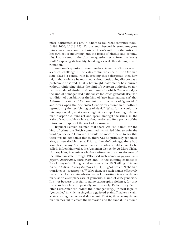more, tormented as I am? / Whom to call, what comrades now?" (l.999–1000; l.1013–15). To the end, beyond it even, Antigone raises questions about the basis of Creon's authority, the justice of her own act of mourning, and the forms of kinship and community. Unanswered in the play, her questions echo from the "rocky vault," exposing its fragility, breaking its seal, threatening it with ruination.

Antigone's questions present today's Armenian diasporas with a critical challenge: If the catastrophic violence of the Ottoman state played a central role in creating those diasporas, then how might that violence be mourned without positioning diaspora as a problem to be solved? That is, how might that violence be mourned without reinforcing either the kind of sovereign authority or normative modes of kinship and community for which Creon stood; or the kind of homogenized nationalism for which genocide itself is a condition of possibility; or the kind of "new internationalism" that Althusser questioned? Can one interrupt the work of "genocide," and break open the Armenian Genocide's entombment, without reproducing the terrible logics of denial? What forms would this interruption take, what spaces might it open up? How might Armenian diasporic culture act and speak amongst the ruins, in the wake of catastrophic violence, about today and for a politics of the future, in the spirit of the work of mourning?

Raphael Lemkin claimed that there was "no name" for the kind of crime the Reich committed, which led him to coin the word "genocide." However, it would be more precise to say that there was no *one* name; that is, there was no juridically generalizable, universalizable name. Prior to Lemkin's coinage, there had long been many Armenian names for what would come to be called, in Lemkin's wake, the Armenian Genocide. As Marc Nichanian explains, Armenians who bore witness to the mass violence of the Ottoman state through 1915 used such names as *yeghern, medz yeghern, darakrutiun, aksor, chart,* and—in the stunning example of Zabel Essayan's still neglected account of the 1909 killing of Armenians in Cilicia, *Among the Ruins* (1911)—*aghed,* which Nichanian translates as "catastrophe."18 Why, then, are such names effectively inadequate for Lemkin, who in many of his writings takes the Armenians as an exemplary case of genocide, a kind of *arche*-genocide? It is not because they fail to name catastrophic violence, for they name such violence repeatedly and diversely. Rather, they fail to offer Euro-American civility the homogenizing, juridical logic of "genocide," in which a singular, aggrieved plaintiff makes a claim against a singular, accused defendant. That is, these many Armenian names fail to create the barbarian and the vandal, to entomb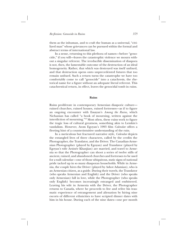them as the inhuman, and to craft the human as a universal, "civilized man" whose grievances can be pursued within the formal and abstract terms of international law.

In a sense, returning to this plethora of names—before "genocide," if you will—leaves the catastrophic violence we mourn without a singular referent. The irreducible dissemination of diaspora is not, then, the lamentable outcome of the destruction of an ideal homogeneity. Rather, that which was destroyed was itself unfixed, and that destruction opens onto unprecedented futures that too remain unfixed. Such a return turns the catastrophe we have too comfortably come to call "genocide" into a catachresis, the rhetorical name for a figure without an adequate literal referent. This catachrestical return, in effect, leaves the genocidal tomb in ruins.

### **Ruins**

Ruins proliferate in contemporary Armenian diasporic culture ruined churches, ruined houses, ruined fortresses—as if to figure an ongoing encounter with Essayan's *Among the Ruins,* which Nichanian has called "a book of mourning, written against the interdiction of mourning."19 Most often, these ruins work to figure the tragic loss of cultural greatness, something akin to Lemkin's vandalism. However, Atom Egoyan's 1993 film *Calendar* offers a fleeting hint of a counterintuitive understanding of the ruin.

In a meticulous but fractured narrative style, *Calendar* depicts the entangled lives of three characters, called by the credits the Photographer, the Translator, and the Driver. The Canadian-Armenian Photographer (played by Egoyan) and Translator (played by Egoyan's wife Arsinée Khanjian) are married, and travel to Armenia so that the Photographer can shoot a series of twelve stills of ancient, ruined, and abandoned churches and fortresses to be used for a wall calendar—one of those ubiquitous, static signs of national pride tacked up in so many diasporan households. While in Armenia, the couple hires the Driver (played by Ashot Adamian), who is an Armenian citizen, as a guide. During their travels, the Translator (who speaks Armenian and English) and the Driver (who speaks only Armenian) fall in love, while the Photographer (who speaks only English) becomes increasingly estranged and embittered. Leaving his wife in Armenia with the Driver, the Photographer returns to Canada, where he proceeds to live and relive his traumatic experience of estrangement and alienation by hiring nine escorts of different ethnicities to have scripted dinner dates with him in his house. During each of the nine dates—one per month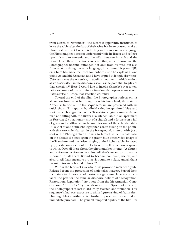from March to November—the escort is apparently instructed to leave the table after the last of their wine has been poured, make a phone call, and act like she is flirting with someone in a language the Photographer does not understand while he listens and reflects upon his trip to Armenia and the affair between his wife and the Driver. From these reflections, we learn that, while in Armenia, the Photographer became estranged not only from his wife, but also from what he thought was his language, his culture, his place: "[B] eing here has made me from somewhere else," he explains at one point. As Anahid Kassabian and I have argued at length elsewhere, *Calendar* traces the obsessive, masculinist manner in which nationalism asserts itself in the diaspora, as well as the potential fragility of that assertion.20 Here, I would like to invoke *Calendar*'s ever-so-tentative exposure of the vertiginous freedom that opens up—beyond *Calendar* itself—when that assertion crumbles.

Toward the end of the film, the Photographer reflects on his alienation from what he thought was his homeland, the state of Armenia. In one of the last sequences, we are presented with six quick shots: (1) a grainy, handheld video image, tinted blue and shot by the Photographer, of the Translator singing a song in Armenian and sitting with the Driver at a kitchen table in an apartment in Yerevan; (2) a stationary shot of a church and a fortress on a hill of grass and wildflowers, to be used for one of the calendar stills; (3) a shot of one of the Photographer's dates talking on the phone, with that very calendar still in the background, intercut with (4) a shot of the Photographer thinking to himself while his date talks on the phone; (5) once again the grainy, blue-tinted video image of the Translator and the Driver singing at the kitchen table, followed by (6) a stationary shot of the fortress by itself, which overexposes to white. Over all these shots, the photographer intones, "A church and a fortress. A fortress in ruins. All that's meant to protect us is bound to fall apart. Bound to become contrived, useless, and absurd. All that's meant to protect is bound to isolate, and all that's meant to isolate is bound to hurt."<sup>21</sup>

Within the terms of *Calendar,* ruins provoke a melancholy life. Released from the protection of nationalist imagery, barred from the naturalized narrative of glorious origins, unable to instrumentalize the past for the familiar diasporic politics of "Recognition, Restoration, Reparation" (to quote from the hit Armenian Genocide song "P.L.U.C.K." by L.A. alt metal band System of a Down), the Photographer is lost in absurdity, isolated and wounded. This sequence's final overexposure to white figures a kind of featureless, blinding oblivion within which further representation can find no immediate purchase. The general temporal rigidity of the film—its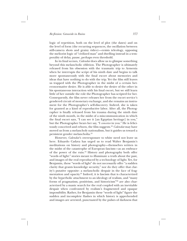logic of repetition, both on the level of plot (the dates) and on the level of form (the recurring sequences, the oscillation between still-camera shots and grainy video)—resists teleology, opposing the meliorist logic of "civilized man" and dwelling instead in a temporality of delay, pause, perhaps even threshold.

In its final scenes, *Calendar* does allow us to glimpse something beyond this melancholic oblivion. The Photographer is ultimately released from his obsession with the traumatic trip to Armenia when he interrupts the script of his ninth date and begins to talk more spontaneously with the final escort about memories and ideas that have nothing to do with the trip. Yet the film still leaves us trapped with the Photographer in the midst of a certain heteronormative desire. He is able to desire the desire of the other in his spontaneous interaction with his final escort, but we still learn little of her outside the role the Photographer has scripted for her. Consequently, the film never releases her from the escort service's gendered circuit of monetary exchange, and she remains an instrument for the Photographer's self-discovery. Indeed, she is taken for granted as a kind of reproductive labor. After all, the Photographer is finally released from his trauma during the ninth date of the ninth month, in the midst of a miscommunication in which the final escort says, "I can see it [an Egyptian heritage] in you," but the Photographer hears her say, "I *conceive* in you." He is felicitously conceived and reborn, the film suggests.22 *Calendar* may have moved us from a melancholy nationalism, but it guides us toward a persistent gender melancholia.23

However, *Calendar*'s overexposure to white need not leave us here. Eduardo Cadava has urged us to read Walter Benjamin's meditations on history and photography—themselves written in the midst of the catastrophe of European fascism—as an embrace of the power of the ruin.<sup>24</sup> History and photography both offer "words of light:" stories meant to illuminate a truth about the past, and images of the real reproduced by a technology of light. Yet, for Benjamin, these "words of light" do not necessarily offer "a sudden clarity that grants knowledge security," nor do they offer that clarity's putative opposite: a melancholic despair in the face of fragmentation and opacity.25 Indeed, it is fascism that is characterized by the hyperbolic attachment to an ideology of realism, and "many forms of pragmatism, positivism, and historicism"26 are also characterized by a manic search for the real coupled with an inevitable despair when confronted by realism's fragmented and opaque impossibility. Rather, for Benjamin these "words of light" figure the sudden and incomplete flashes in which history is apprehended and images are arrested, punctuated by the pulses of darkness that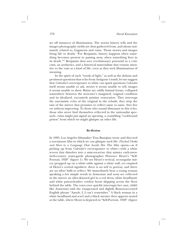set off instances of illumination. The stories history tells and the images photography yields are thus gathered from, and always intimately related to, fragments and ruins. Those stories and images bring life to death: "For Benjamin, history happens when something becomes present in passing away, when something lives in its death."27 Benjamin thus sees revolutionary potential in a criticism, an aesthetics, and a historical materialism that remain attentive to the ruin as a kind of life, even as they seek illuminations of meaning.

In the spirit of such "words of light," as well as the defiant and persistent questions that echo from Antigone's tomb, let me suggest that *Calendar*'s overexposure to white can spark questions *Calendar* itself seems unable to ask, stories it seems unable to tell, images it seems unable to show. Ruins are oddly liminal forms, collapsed somewhere between the structure's imagined, original condition and its idealized, excessively pristine restoration. They interrupt the narcissistic echo of the original in the rebuilt, they strip the tain of the mirror that promises to reflect same to same, they live on without improving. To those who sound dissonant in this echo, those who never find themselves reflected in the nationalist spectacle, ruins might just signal an opening, a crumbling "rockbound prison" from which we might glimpse an other life.

# **Re-flexion**

In 1995, Los Angeles filmmaker Tina Bastajian wrote and directed a ten-minute film in which we can glimpse such life: *Pinched Cheeks and Slurs in a Language That Avoids Her.* The film opens—as if picking up from *Calendar*'s overexposure to white—with a white screen that dissolves into a mise-en-scène that mimics early-twentieth-century avant-garde photographer Florence Henri's "Self-Portrait, 1928" (figure 1). We see Henri's vertical, rectangular mirror propped up on a white table against a white wall, yet emptied of Henri's central signifiers: there is no self to portray, and there are no silver balls to reflect. We immediately hear a young woman speaking a few simple words in Armenian and soon see reflected in the mirror an olive-skinned girl in a red dress, white headband, and white patent-leather cowboy boots skipping across the floor behind the table. The voice-over quickly interrupts her own, childlike Armenian with the exasperated and slightly Boston-accented English phrase "Aaaoh, I, I can't remember." A black woman in a white headband and scarf and a black sweater then appears seated at the table, where Henri is depicted in "Self-Portrait, 1928" (figure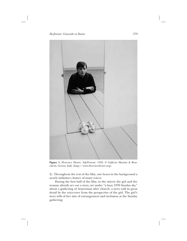

**Figure 1.** Florence Henri, *Self-Portrait, 1928,* © Galleria Martini & Ronchetti, Genoa, Italy (http://www.florencehenri.org).

2). Throughout the rest of the film, one hears in the background a nearly indistinct chatter of many voices.

During the first half of the film, in the mirror the girl and the woman silently act out a story, set under "a hazy 1970 Sunday sky," about a gathering of Armenians after church, a story told in great detail by the voice-over from the perspective of the girl. The girl's story tells of her mix of estrangement and inclusion at the Sunday gathering: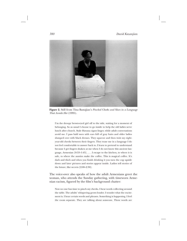

**Figure 2.** Still from Tina Bastajian's *Pinched Cheeks and Slurs in a Language That Avoids Her* (1995).

I'm the droopy brown-eyed girl off to the side, waiting for a moment of belonging. So as usual I choose to go inside to help the old ladies serve lunch after church. Stale Havana cigars linger, while adult conversations avoid me. I pass bald men with ears full of gray hairs and older ladies slumped over with black dresses. They squeeze and then twist my eightyear-old cheeks between their fingers. They tease me in a language I do not feel comfortable to answer back to. I learn to pretend to understand because I get fingers shaken at me when I do not know this ancient language, Armenian [0:53–1:45]. . . . I escape to the kitchen, to where it is safe, to where the aunties make the coffee. This is magical coffee. It's dark and thick and when you finish drinking it you turn the cup upside down and later pictures and stories appear inside. Ladies tell stories of the future, like secrets [2:08–2:30].

The voice-over also speaks of how the adult Armenians greet the woman, who attends the Sunday gathering, with timeworn Armenian racism, figured by the film's background chatter:

Now no one has time to pinch my cheeks. I hear words collecting around the table. The adults' whispering grows louder. I wonder what the excitement is. I hear certain words and phrases. Something is happening. I feel the room separate. They are talking about someone. These words are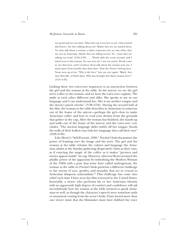not good and are not mine. What they say is not new to me. I have heard this before. Are they talking about me? Maybe they see my stained dress. No, they talk about a woman, a visitor, someone new, an *odar,* other, they say, not an Armenian. Maybe they are telling secrets. No, 'cause they are talking too loud. [2:50–3:38]. . . . Words shift the room around, and I stand next to this woman. No one sees me. I see too much. Words come in our direction, and I overhear them talk about the woman near me. I stand apart from mouths that slant slurs. That she doesn't belong here. Noses turn up at her. "Why is she here" they say over again. "Black. *Seva mort* [literally: of black skin]. Who has brought this black woman here?" [3:51–4:43].

Linking these two voice-over sequences is an interaction between the girl and the woman at the table. In the mirror, we see the girl serve coffee to the woman, and we hear the voice-over explain, "We smile at each other different and alike. She speaks to me in our language and I can understand her. She is my mother tongue and she doesn't pinch cheeks" (3:38–3:50). During the second half of the film, the woman at the table describes in Armenian to someone out of the frame of the mirror—perhaps the girl—how to make Armenian coffee and how to read your destiny from the grounds that gather in the cup. After the woman has finished, she stands up and walks out of the frame of the mirror, and the voice-over concludes: "The ancient language slides swiftly off her tongue, floods the walls of their hollow ears with her language they call their own"  $(9:28-9:36)$ .

Like Henri's "Self-Portrait, 1928," *Pinched Cheeks* thematizes the power of framing over the image and the story. The girl and the woman at the table reframe the culture and language the Armenian adults at the Sunday gathering desperately claim as their own, as if enacting the magic of the coffee as it makes "pictures and stories appear inside" its cup. However, whereas Henri ironized the phallic power of the apparatus by embodying the Modern Woman of the 1920s with a pose that some have called androgynous, the woman at the table in *Pinched Cheeks* presents a different challenge to the norms of race, gender, and sexuality that are so crucial to Armenian diasporic nationalism.<sup>28</sup> This challenge has come into relief each time I have seen the film screened in the United States. Invariably, a viewer who performs his or her Armenian identity with an apparently high degree of comfort and confidence will ask incredulously how the woman at the table seemed to speak Armenian so well, as though the character's speech were somehow unfit or unnatural coming from the actor's body. I have heard more than one viewer insist that the filmmaker must have dubbed the voice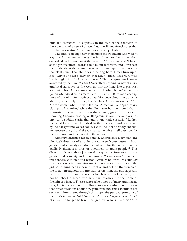onto the character. This aphasia in the face of the character of the woman marks a set of uneven but interlinked foreclosures that structure normative Armenian diasporic subjectivities.

The film itself explicitly thematizes the systematic and violent way the Armenians at the gathering foreclose the articulation, embodied by the woman at the table, of "Armenian" and "black": as the girl recounts, "Words come in our direction, and I overhear them talk about the woman near me. I stand apart from mouths that slant slurs. That she doesn't belong here. Noses turn up at her. 'Why is she here' they say over again. 'Black. *Seva mort.* Who has brought this black woman here?'" This last question is never answered by the film. *Pinched Cheeks* offers nothing by way of a biographical narrative of the woman, nor anything like a positivist account of how Armenians were declared "white by law" in two forgotten US federal courts cases from 1910 and 1925.29 Even descriptions of the film often reflect an ambivalence about the woman's identity, alternately naming her "a black Armenian woman," "an African woman who . . . was in fact half Armenian," and "part Ethiopian, part Armenian," while the filmmaker has mentioned that J. Khorozian, the actor who plays the woman, grew up in Beirut. $30$ Recalling Cadava's reading of Benjamin, *Pinched Cheeks* does not offer us "a sudden clarity that grants knowledge security." Rather, the racist foreclosure described by the voice-over and performed by the background voices collides with the identificatory encounter between the girl and the woman at the table, itself described by the voice-over and reenacted in the mirror.

Although Bastajian has said that J. Khorozian is a gay man, the film itself does not offer quite the same self-consciousness about gender and sexuality as it does about race, for the narrative never explicitly thematizes drag or queerness or trans people.<sup>31</sup> This diegetic reticence about J. Khorozian's queer performance situates gender and sexuality on the margins of *Pinched Cheeks*' more central concern with race and nation. Visually, however, we could say that these exegetical margins assert themselves in the scenes of the girl performing her girlness in front of and behind the woman at the table: throughout the first half of the film, the girl skips and twirls across the room, smoothes her hair with a headband, and has her cheek pinched by a hand that reaches into the frame of the mirror's image. These scenes echo a trope of many trans narratives, linking a gendered childhood to a trans adulthood in a way that raises questions about how gendered and sexed identities are secured.<sup>32</sup> Interpreted through this trope, the personal pronoun of the film's title—*Pinched Cheeks and Slurs in a Language That Avoids Her*—can no longer be taken for granted. Who is this "her"? And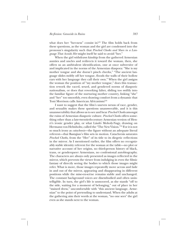what does her "her-ness" consist in?<sup>33</sup> The film holds back from these questions, as the woman and the girl are condensed into the pronoun's singularity such that *Pinched Cheeks and Slurs in a Language That Avoids Her* might itself be said to avoid "her."

When the girl withdraws kinship from the gathered Armenian aunties and uncles and redirects it toward the woman, then, she offers us an ambivalent identification, one at once subversive of and implicated in the norms of the Armenian diaspora: "She is my mother tongue and she doesn't pinch cheeks," "The ancient language slides swiftly off her tongue, floods the walls of their hollow ears with her language they call their own." When the girl assigns the woman the position of "my mother tongue," does this transaction rework the raced, sexed, and gendered norms of diasporic nationalism, or does that reworking falter, sliding too swiftly into the familiar figure of the nurturing mother country, linking "she" and "her" too smoothly, even drawing comfort from a dynamic that Toni Morrison calls American Africanism?34

I want to suggest that the film's uneven nexus of race, gender, and sexuality makes these questions unanswerable, and it is this unanswerability that allows us to see and hear *Pinched Cheeks* amongst the ruins of Armenian diasporic culture. *Pinched Cheeks* offers something other than a late-twentieth-century Armenian version of Henri's ironic gender play, or what László Moholy-Nagy, drawing on Hermann von Helmholtz, called the "The New Vision."35 For it is not so much irony as *catachresis*—the figure without an adequate literal referent—that Bastajian's film sets in motion. Catachresis saturates *Pinched Cheeks,* from the "Her" of its title to its diegetic reflections in the mirror. As I mentioned earlier, the film offers no recognizably stable identity referent for the woman at the table—no plot or narrative account of her origins, no third-person history of black, trans, or genderqueer Armenians, no confessional autobiography. The characters are always only presented as images reflected in the mirror, which prevents the viewer from indulging in even the filmic fantasy of directly seeing the bodies to which those images might refer. What is more, those images repeatedly move across and fade in and out of the mirror, appearing and disappearing in different positions while the mise-en-scène remains stable and unchanged. The constant background voices are disembodied and often unintelligible. In turn, the girl's life is unmoored, as she stands "off to the side, waiting for a moment of belonging," out of place in her "stained dress," uncomfortable with "this ancient language, Armenian" to the point of pretending to understand. When the adults at the gathering aim their words at the woman, "no one sees" the girl even as she stands next to the woman.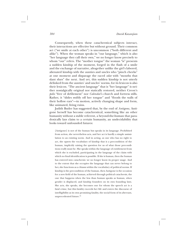Consequently, when these catachrestical subjects interact, their interactions are effective but without ground. Their common act ("we smile at each other") is uncommon ("both different and alike"). When the woman speaks in "our language," which is also "her language they call their own," we no longer know precisely to whom "our" refers. The "mother tongue" the woman "is" presents a sudden kinship of the moment, forged in the flash of a smile and the exchange of narrative, altogether unlike the girl's labored, alienated kinship with the aunties and uncles who "pinch cheeks" at one moment and disparage the raced *odar* with "mouths that slant slurs" the next. And yet, this sudden kinship is not utterly delinked from the aunties' and uncles' norms, for its lexicon is also their lexicon. "The ancient language" that is "her language" is neither nostalgically original nor statically restored, neither Creon's *polis* "free of defilement" nor *Calendar*'s church and fortress stills. Rather, it "slides swiftly off her tongue" and "floods the walls of their hollow ears"—in motion, actively changing shape and form, like animated, living ruins.

Judith Butler has suggested that, by the end of *Antigone,* Antigone herself has become catachrestical, something like an other humanity without a stable referent, a beyond-the-human that paradoxically lays claim to a certain humanity, an undecidability that looks toward unfounded futures:

[Antigone] is not of the human but speaks in its language. Prohibited from action, she nevertheless acts, and her act is hardly a simple assimilation to an existing norm. And in acting, as one who has no right to act, she upsets the vocabulary of kinship that is a precondition of the human, implicitly raising the question for us of what those preconditions really must be. She speaks within the language of entitlement from which she is excluded, participating in the language of the claim with which no final identification is possible. If she is human, then the human has entered into catachresis: we no longer know its proper usage. And to the extent that she occupies the language that can never belong to her, she functions as a chiasm within the vocabulary of political norms. If kinship is the precondition of the human, then Antigone is the occasion for a new field of the human, achieved through political catachresis, the one that happens when the less than human speaks as human, when gender is displaced, and kinship founders on its own founding laws. She acts, she speaks, she becomes one for whom the speech act is a fatal crime, but this fatality exceeds her life and enters the discourse of intelligibility as its own promising fatality, the social form of its aberrant, unprecedented future.36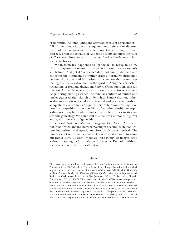From within the tomb, Antigone offers an excess or a remainder full of questions, without an adequate literal referent or determinate political aim—beyond the sentence Creon thought he had decreed. From the remains of Antigone's tomb, amongst the ruins of *Calendar*'s churches and fortresses, *Pinched Cheeks* enters into such catachresis.

What, then, has happened to "genocide" in Bastajian's film? Utterly unspoken, it seems to have been forgotten, even carelessly left behind. And yet if "genocide" does not simply stipulate and condemn the inhuman, but rather crafts a normative distinction between humanity and barbarism, a distinction that reanimates the logic of the *metoikos,* then in the spirit of Antigone's persistent reclaiming of resident alienation, *Pinched Cheeks* questions that distinction. As the girl meets the woman on the outskirts of a domestic gathering, having escaped the familiar confines of aunties and uncles gathered after church under a hazy Sunday sky—or, rather, as that meeting is reflected to us, framed and performed without adequate reference to its origin, its very reiteration wresting iteration from repetition—the possibility of an other kinship emerges, a diasporic possibility whose inadequate referent lies in its catastrophic genealogy. We could call this the work of mourning, over and against the work of genocide.

*Pinched Cheeks and Slurs in a Language That Avoids Her* reflects not what Armenians are, but what we might become, such that "we" remains insistently diasporic and irreducibly catachrestical. The film does not return to us what we know or what we want to know, but rather turns us from where we were going. Its images bend without snapping back into shape. It flexes us. Ruination without reconstruction. Re-flexion without return.

#### **Notes**

This essay began as a talk at the Evasions of Power Conference at the University of Pennsylvania in 2007; thanks to Aaron Levy of the Slought Foundation for including me in the conference. An earlier version of this essay, "(Re)flexion: Genocide in Ruins," was published in *Evasions of Power: On the Architecture of Adjustment,* ed. Katherine Carl, Aaron Levy, and Srdjan Jovanovic Weiss (Philadelphia: Slought Foundation, 2011), 155–78. The participants in the GASWorks works-in-progress seminar in Gender, Sexuality, and Women Studies seminar in women's studies at Penn read and discussed a draft in the fall of 2008; thanks to those who attended, and to Penn Women's Studies—especially Shannon Lundeen, Luz Marin, Demie Kurz, and Heather Love—for organizing the seminar. The paper was also presented and discussed in Istanbul at the Hrant Dink Memorial Workshop, May 2011; I thank the participants, especially Ayşe Gül Altınay, for their feedback. Karen Beckman,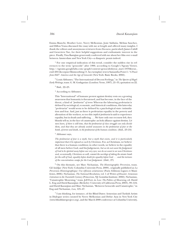Emma Bianchi, Heather Love, Neery Melkonian, Josie Saldaña, Melissa Sanchez, and Dillon Vrana discussed the essay with me at length and offered many insights. I thank the editors and anonymous reviewers from *Discourse,* particularly James Cahill and Genevieve Yue, for their helpful suggestions and enthusiastic interest in the piece. Finally, Tina Bastajian generously conferred with me about her film over e-mail between Amsterdam and New York City—a diasporic praxis indeed.

<sup>1.</sup> For one empirical indication of this trend, consider the sudden rise in references to the term "genocide" after 1990, according to Google's Ngram Viewer, http://ngrams.googlelabs.com/graph?content=genocide&year\_start=1970&year\_ end=2011&corpus=0&smoothing=3. An exemplary text is Samantha Power's *"A Power from Hell": America and the Age of Genocide* (New York: Basic Books, 2002).

2. Louis Althusser, "The International of Decent Feelings," in *The Spectre of Hegel: Early Writings,* trans. G. M. Goshgarian (London: Verso, 1997), 21–35, quotation on 22.

3. Ibid., 22–23.

4. According to Althusser,

This "International" of humane protest against destiny rests on a growing awareness that humanity is threatened, and has become, in the face of the threat, a kind of *"proletariat" of terror.* Whereas the labouring proletariat is defined by sociological, economic, and historical conditions, this latter-day "proletariat" would seem to be defined by a psychological state: intimidation and fear. And, just as there is proletarian equality in the poverty and alienation of the workers, so too this *implicit proletariat* is said to experience equality, but in death and suffering. . . . We have only one recourse left, they bluntly tell us, in the face of catastrophe: an holy alliance against destiny. *Let men learn, if there is still time, that the proletariat of class struggle can only divide them, and that they are already united unawares in the proletariat of fear or the bomb, of terror and death, in the proletariat of the human condition.* (ibid., 23–24)

5. Althusser says,

*The proletariat of fear is a myth, but a myth that exists, and it is particularly important that it be exposed as such by Christians.* For, as Christians, we believe that there is a human condition; in other words, we believe in the equality of all men before God, and his Judgement, *but we do not want the Judgement of God to be spirited away before our very eyes; nor do we want to see non-Christians and, occasionally, Christians as well, commit the sacrilege of taking the atomic bomb for the will of God, equality before death for equality before God . . . and the tortures of the concentration camps for the Last Judgement.* (ibid., 27)

6. On this thematic, see Marc Nichanian, *The Historiographic Perversion,* trans. Gil Anidjar (New York: Columbia University Press, 2009), originally published as *La Perversion Historiographique: Une réflexion arménienne* (Paris: Editions Lignes et Manifestes, 2006); Nichanian, *The National Revolution,* vol. 1 of *Writers of Disaster: Armenian Literature in the Twentieth Century* (Princeton, NJ: Gomidas Institute, 2002); Nichanian, "Catastrophic Mourning," trans. Jeff Fort, in *Loss: The Politics of Mourning,* ed. David L. Eng and David Kazanjian (Berkeley: University of California Press, 2003), 99–124; and David Kazanjian and Marc Nichanian, "Between Genocide and Catastrophe," in Eng and Nichanian, *Loss,* 125–47.

<sup>7.</sup> I am thinking, for instance, of the Blind Dates: Armenian and Turkish Artists in Dialogue series curated by Neery Melkonian and Defne Ayas in New York City (www.blinddatesproject.org), and the March 2008 conference at Columbia University,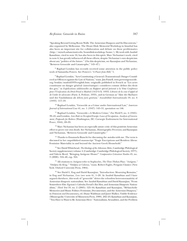"Speaking Beyond Living Room Walls: The Armenian Diaspora and Its Discontents," also organized by Melkonian. The Hrant Dink Memorial Workshop in Istanbul has also been an important site for collaboration and debate on these problematics (http://myweb.sabanciuniv.edu/hrantdink-workshop/home/). My work with Anahid Kassabian, cited in note 16, has also been in this spirit. Marc Nichanian's work, cited in note 6, has greatly influenced all these efforts, despite Nichanian's own skepticism about any "politics of the future." (On this skepticism, see Kazanjian and Nichanian, "Between Genocide and Catastrophe," 145–47.)

<sup>8</sup>. Raphael Lemkin has recently received some attention in the public policy work of Samantha Powers. See Powers's *"A Power from Hell,"* 1.

9. Raphael Lemkin, "Acts Constituting a General (Transnational) Danger Considered as Offences against the Law of Nations," trans. Jim Fussell, www.preventgenocide. org/lemkin/madrid1933-english.htm; originally published in French as "Les actes constituant un danger général (interétatique) consideres comme delites des droit des gen," in *Expilications additionelles au Rapport spécial présentè à la Vème Conférence pour l'Unification du Droit Penal à Madrid* (14-2 O.X. 1933) *Librarie de la cour d'appel ed de l'order de advocates* (Paris: A. Pedone, 1933), and in German as "Akte der Barbarei und des Vandalismus als *delicta juris gentium,*" *Anwaltsblatt Internationales* 19, no. 6 (1933): 117–19.

10. Raphael Lemkin, "Genocide as a Crime under International Law," *American Journal of International Law* 41, no. 1 (1947): 145–51, quotation on 146.

11. Raphael Lemkin, "Genocide—A Modern Crime," *Free World* 9, no. 4 (1945): 39–45; and Lemkin, *Axis Rule in Occupied Europe: Laws of Occupation, Analysis of Government, Proposals for Redress* (Washington, DC: Carnegie Endowment for International Peace, 1944), 69–95.

<sup>12.</sup> Marc Nichanian has been an especially astute critic of this positivist Armenian effort to prove our own death. See Nichanian, *Historiographic Perversion;* and Kazanjian and Nichanian, "Between Genocide and Catastrophe."

13. Thanks to Emanuela Bianchi for discussing the *metoikos* with me. The term is discussed in her unpublished manuscript "Tragic Encryptions and Resident Aliens: Feminine Materiality in and beyond the Ancient Greek Household."

14. See David Whitehead, *The Ideology of the Athenian Metic,* Cambridge Philological Society supplementary volume 4 (Cambridge: Cambridge Philological Society, 1977); and Valerie Reed, "Bringing Antigone Home?" *Comparative Literature Studies* 45, no. 3 (2008): 316–40, esp. 324.

15. All citations to *Antigone* refer to Sophocles, *The Three Theban Plays: "Antigone," "Oedipus the King," "Oedipus at Colonus,"* trans. Robert Fagles, Penguin Classics (New York: Oxford University Press, 1984).

<sup>16.</sup> See David L. Eng and David Kazanjian, "Introduction: Mourning Remains," in Eng and Nichanian, *Loss* (see note 6), 1–28. As Anahid Kassabian and I have argued elsewhere, this work of "genocide" drives the relentless heteronormativity of Armenian diasporic nationalism. See Anahid Kassabian and David Kazanjian, "From Somewhere Else: Egoyan's *Calendar,* Freud's *Rat Man,* and Armenian Diasporic Nationalism," *Third Text* 19, no. 2 (2005): 125–44; Kassabian and Kazanjian, "Melancholic Memories and Manic Politics: Feminism, Documentary, and the Armenian Diaspora," in *Feminism and Documentary,* ed. Diane Waldman and Janet Walker, Visible Evidence (Minneapolis: University of Minnesota Press, 1999), 202–23; Kassabian and Kazanjian, "'You Have to Want to Be Armenian Here:' Nationalisms, Sexualities, and the Problem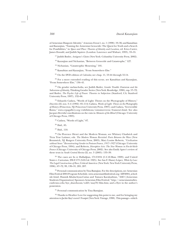of Armenian Diasporic Identity," *Armenian Forum* 1, no. 1 (1998): 19–36; and Kassabian and Kazanjian, "Naming the Armenian Genocide: The Quest for Truth and a Search for Possibilities," in *Space and Place: Theories of Identity and Location,* ed. Erica Carter, James Donald, and Judith Squires (London: Lawrence and Wishart, 1993), 33–55.

<sup>17.</sup> Judith Butler, *Antigone's Claim* (New York: Columbia University Press, 2002).

<sup>18.</sup> Kazanjian and Nichanian, "Between Genocide and Catastrophe," 127.

19. Nichanian, "Catastrophic Mourning," 101.

20. Kassabian and Kazanjian, "From Somewhere Else."

21. On the DVD edition of *Calendar,* see chap. 11, 53:44 through 55:14.

 $22$ . For a more extended reading of this scene, see Kassabian and Kazanjian, "From Somewhere Else," 136–41.

23. On gender melancholia, see Judith Butler, *Gender Trouble: Feminism and the Subversion of Identity,* Thinking Gender Series (New York: Routledge, 1990), esp. 57–72; and Butler, *The Psychic Life of Power: Theories in Subjection* (Stanford, CA: Stanford University Press, 1997), 132–66.

<sup>24.</sup> Eduardo Cadava, "Words of Light: Theses on the Photography of History," *Diacritics* 22, nos. 3–4 (1992): 85–114; Cadava, *Words of Light: Theses on the Photography of History* (Princeton, NJ: Princeton University Press, 1997); and Cadava, "Irreversible Ruins," www.cepagallery.org/exhibitions/ruinsinreverse/frameset.html. See also Jacques Derrida's meditations on the ruin in *Memoirs of the Blind* (Chicago: University of Chicago Press, 1993).

25. Cadava, "Words of Light," 87.

26. Ibid., 85.

27. Ibid., 110.

28. On Florence Henri and the Modern Woman, see Whitney Chadwick and Tirza True Latimer, eds. *The Modern Woman Revisited: Paris Between the Wars* (New Brunswick, NJ: Rutgers University Press, 2003); Mary Louise Roberts, *"Civilization without Sexes:" Reconstructing Gender in Postwar France, 1917–1927* (Chicago: University of Chicago Press, 1994); and Roberts, *Disruptive Acts: The New Woman in Fin-de-Siècle France* (Chicago: University of Chicago Press, 2002). See also Emily Apter's review of these texts in *South Central Review* 22, no. 3 (2005): 133–39.

 $29.$  The cases are In re Halladjian, 174 F.834 (C.C.D.Mass. 1909); and United States v. Cartozian, 296 F.173 (S.D.Cal. 1925). See Ian F. Haney López, *White by Law: The Legal Construction of Race,* Critical America (New York: New York University Press, 1996), 67–72, 99, 130–31, 205, 207.

30. Personal communication by Tina Bastajian. For the descriptions, see Armenian Film Festival 2004 Program Schedule, www.armenianfilmfestival.org/AFF2004\_schedule.html; Hasmik Khalachyan-Cañas and Tamara Karakashian, "ASO [Armenian Students Organization] Sponsors Armenian Film Festival," http://armenianstudies. csufresno.edu/hye\_sharzhoom/vol21/may70/film.htm; and a flyer in the author's possession.

31. Personal communication by Tina Bastajian.

<sup>32.</sup> Thanks to Heather Love for suggesting this point to me, and for bringing my attention to Jackie Kay's novel *Trumpet* (New York: Vintage, 1998). This passage—which